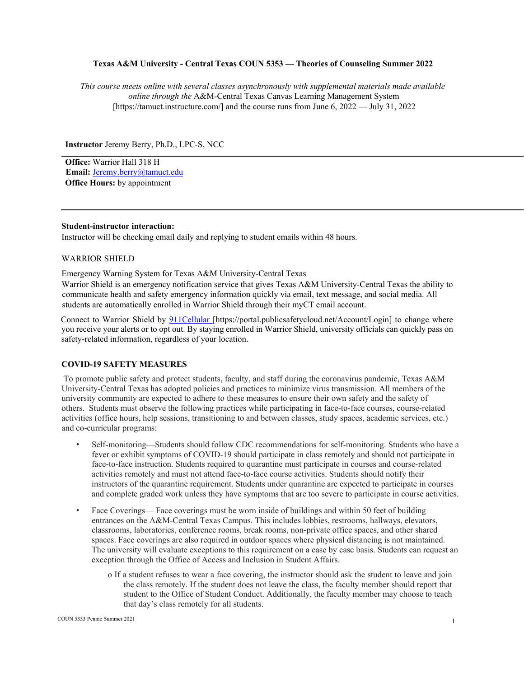### **Texas A&M University - Central Texas COUN 5353 — Theories of Counseling Summer 2022**

*This course meets online with several classes asynchronously with supplemental materials made available online through the* A&M-Central Texas Canvas Learning Management System [https://tamuct.instructure.com/] and the course runs from June 6, 2022 — July 31, 2022

**Instructor** Jeremy Berry, Ph.D., LPC-S, NCC

**Office:** Warrior Hall 318 H **Email:** Jeremy.berry@tamuct.edu **Office Hours:** by appointment

### **Student-instructor interaction:**

Instructor will be checking email daily and replying to student emails within 48 hours.

### WARRIOR SHIELD

Emergency Warning System for Texas A&M University-Central Texas

Warrior Shield is an emergency notification service that gives Texas A&M University-Central Texas the ability to communicate health and safety emergency information quickly via email, text message, and social media. All students are automatically enrolled in Warrior Shield through their myCT email account.

Connect to Warrior Shield by 911Cellular [https://portal.publicsafetycloud.net/Account/Login] to change where you receive your alerts or to opt out. By staying enrolled in Warrior Shield, university officials can quickly pass on safety-related information, regardless of your location.

## **COVID-19 SAFETY MEASURES**

To promote public safety and protect students, faculty, and staff during the coronavirus pandemic, Texas A&M University-Central Texas has adopted policies and practices to minimize virus transmission. All members of the university community are expected to adhere to these measures to ensure their own safety and the safety of others. Students must observe the following practices while participating in face-to-face courses, course-related activities (office hours, help sessions, transitioning to and between classes, study spaces, academic services, etc.) and co-curricular programs:

- Self-monitoring—Students should follow CDC recommendations for self-monitoring. Students who have a fever or exhibit symptoms of COVID-19 should participate in class remotely and should not participate in face-to-face instruction. Students required to quarantine must participate in courses and course-related activities remotely and must not attend face-to-face course activities. Students should notify their instructors of the quarantine requirement. Students under quarantine are expected to participate in courses and complete graded work unless they have symptoms that are too severe to participate in course activities.
- Face Coverings— Face coverings must be worn inside of buildings and within 50 feet of building entrances on the A&M-Central Texas Campus. This includes lobbies, restrooms, hallways, elevators, classrooms, laboratories, conference rooms, break rooms, non-private office spaces, and other shared spaces. Face coverings are also required in outdoor spaces where physical distancing is not maintained. The university will evaluate exceptions to this requirement on a case by case basis. Students can request an exception through the Office of Access and Inclusion in Student Affairs.
	- o If a student refuses to wear a face covering, the instructor should ask the student to leave and join the class remotely. If the student does not leave the class, the faculty member should report that student to the Office of Student Conduct. Additionally, the faculty member may choose to teach that day's class remotely for all students.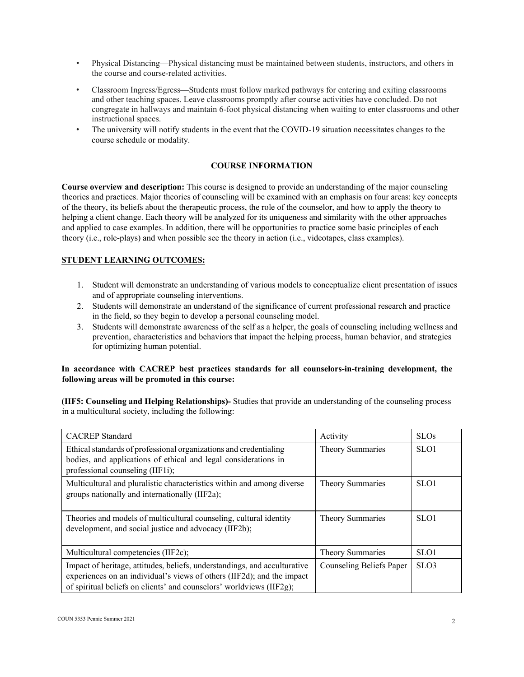- Physical Distancing—Physical distancing must be maintained between students, instructors, and others in the course and course-related activities.
- Classroom Ingress/Egress—Students must follow marked pathways for entering and exiting classrooms and other teaching spaces. Leave classrooms promptly after course activities have concluded. Do not congregate in hallways and maintain 6-foot physical distancing when waiting to enter classrooms and other instructional spaces.
- The university will notify students in the event that the COVID-19 situation necessitates changes to the course schedule or modality.

# **COURSE INFORMATION**

**Course overview and description:** This course is designed to provide an understanding of the major counseling theories and practices. Major theories of counseling will be examined with an emphasis on four areas: key concepts of the theory, its beliefs about the therapeutic process, the role of the counselor, and how to apply the theory to helping a client change. Each theory will be analyzed for its uniqueness and similarity with the other approaches and applied to case examples. In addition, there will be opportunities to practice some basic principles of each theory (i.e., role-plays) and when possible see the theory in action (i.e., videotapes, class examples).

## **STUDENT LEARNING OUTCOMES:**

- 1. Student will demonstrate an understanding of various models to conceptualize client presentation of issues and of appropriate counseling interventions.
- 2. Students will demonstrate an understand of the significance of current professional research and practice in the field, so they begin to develop a personal counseling model.
- 3. Students will demonstrate awareness of the self as a helper, the goals of counseling including wellness and prevention, characteristics and behaviors that impact the helping process, human behavior, and strategies for optimizing human potential.

# **In accordance with CACREP best practices standards for all counselors-in-training development, the following areas will be promoted in this course:**

**(IIF5: Counseling and Helping Relationships)-** Studies that provide an understanding of the counseling process in a multicultural society, including the following:

| <b>CACREP</b> Standard                                                                                                                                                                                                      | Activity                 | <b>SLOs</b>      |
|-----------------------------------------------------------------------------------------------------------------------------------------------------------------------------------------------------------------------------|--------------------------|------------------|
| Ethical standards of professional organizations and credentialing<br>bodies, and applications of ethical and legal considerations in<br>professional counseling (IIF1i);                                                    | Theory Summaries         | SLO1             |
| Multicultural and pluralistic characteristics within and among diverse<br>groups nationally and internationally (IIF2a);                                                                                                    | Theory Summaries         | SLO1             |
| Theories and models of multicultural counseling, cultural identity<br>development, and social justice and advocacy (IIF2b);                                                                                                 | Theory Summaries         | SLO1             |
| Multicultural competencies (IIF2c);                                                                                                                                                                                         | Theory Summaries         | SLO1             |
| Impact of heritage, attitudes, beliefs, understandings, and acculturative<br>experiences on an individual's views of others (IIF2d); and the impact<br>of spiritual beliefs on clients' and counselors' worldviews (IIF2g); | Counseling Beliefs Paper | SLO <sub>3</sub> |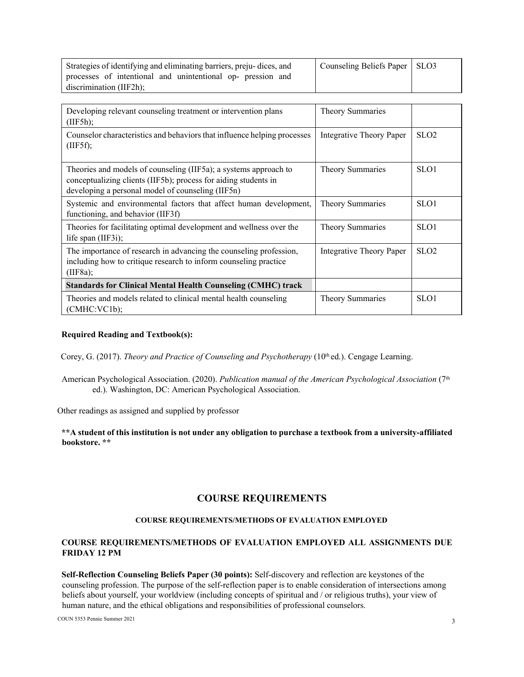| Strategies of identifying and eliminating barriers, preju-dices, and                   | Counseling Beliefs Paper   SLO3 |  |
|----------------------------------------------------------------------------------------|---------------------------------|--|
| processes of intentional and unintentional op- pression and<br>discrimination (IIF2h); |                                 |  |
|                                                                                        |                                 |  |

| Developing relevant counseling treatment or intervention plans<br>(IIF5h);                                                                                                               | Theory Summaries         |                  |
|------------------------------------------------------------------------------------------------------------------------------------------------------------------------------------------|--------------------------|------------------|
| Counselor characteristics and behaviors that influence helping processes<br>(IIF5f);                                                                                                     | Integrative Theory Paper | SLO <sub>2</sub> |
| Theories and models of counseling (IIF5a); a systems approach to<br>conceptualizing clients (IIF5b); process for aiding students in<br>developing a personal model of counseling (IIF5n) | Theory Summaries         | SLO1             |
| Systemic and environmental factors that affect human development,<br>functioning, and behavior (IIF3f)                                                                                   | Theory Summaries         | SLO1             |
| Theories for facilitating optimal development and wellness over the<br>life span (IIF3i);                                                                                                | Theory Summaries         | SLO1             |
| The importance of research in advancing the counseling profession,<br>including how to critique research to inform counseling practice<br>(IIF8a);                                       | Integrative Theory Paper | SLO <sub>2</sub> |
| <b>Standards for Clinical Mental Health Counseling (CMHC) track</b>                                                                                                                      |                          |                  |
| Theories and models related to clinical mental health counseling<br>(CMHC:VC1b);                                                                                                         | Theory Summaries         | SLO1             |

## **Required Reading and Textbook(s):**

Corey, G. (2017). *Theory and Practice of Counseling and Psychotherapy* (10<sup>th</sup> ed.). Cengage Learning.

American Psychological Association. (2020). *Publication manual of the American Psychological Association* (7<sup>th</sup> ed.). Washington, DC: American Psychological Association.

Other readings as assigned and supplied by professor

**\*\*A student of this institution is not under any obligation to purchase a textbook from a university-affiliated bookstore. \*\***

# **COURSE REQUIREMENTS**

# **COURSE REQUIREMENTS/METHODS OF EVALUATION EMPLOYED**

# **COURSE REQUIREMENTS/METHODS OF EVALUATION EMPLOYED ALL ASSIGNMENTS DUE FRIDAY 12 PM**

**Self-Reflection Counseling Beliefs Paper (30 points):** Self-discovery and reflection are keystones of the counseling profession. The purpose of the self-reflection paper is to enable consideration of intersections among beliefs about yourself, your worldview (including concepts of spiritual and / or religious truths), your view of human nature, and the ethical obligations and responsibilities of professional counselors.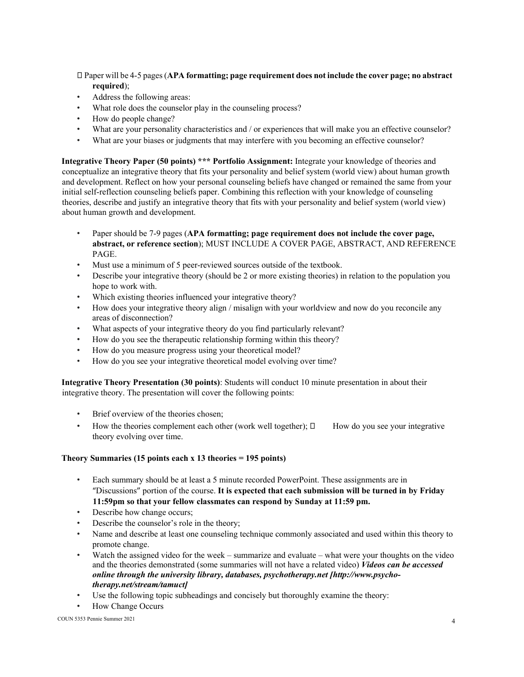Paper will be 4-5 pages (**APA formatting; page requirement does not include the cover page; no abstract required**);

- Address the following areas:
- What role does the counselor play in the counseling process?
- How do people change?
- What are your personality characteristics and / or experiences that will make you an effective counselor?
- What are your biases or judgments that may interfere with you becoming an effective counselor?

**Integrative Theory Paper (50 points) \*\*\* Portfolio Assignment:** Integrate your knowledge of theories and conceptualize an integrative theory that fits your personality and belief system (world view) about human growth and development. Reflect on how your personal counseling beliefs have changed or remained the same from your initial self-reflection counseling beliefs paper. Combining this reflection with your knowledge of counseling theories, describe and justify an integrative theory that fits with your personality and belief system (world view) about human growth and development.

- Paper should be 7-9 pages (**APA formatting; page requirement does not include the cover page, abstract, or reference section**); MUST INCLUDE A COVER PAGE, ABSTRACT, AND REFERENCE PAGE.
- Must use a minimum of 5 peer-reviewed sources outside of the textbook.
- Describe your integrative theory (should be 2 or more existing theories) in relation to the population you hope to work with.
- Which existing theories influenced your integrative theory?
- How does your integrative theory align / misalign with your worldview and now do you reconcile any areas of disconnection?
- What aspects of your integrative theory do you find particularly relevant?
- How do you see the therapeutic relationship forming within this theory?
- How do you measure progress using your theoretical model?
- How do you see your integrative theoretical model evolving over time?

**Integrative Theory Presentation (30 points)**: Students will conduct 10 minute presentation in about their integrative theory. The presentation will cover the following points:

- Brief overview of the theories chosen:
- How the theories complement each other (work well together);  $\Box$  How do you see your integrative theory evolving over time.

### **Theory Summaries (15 points each x 13 theories = 195 points)**

- Each summary should be at least a 5 minute recorded PowerPoint. These assignments are in "Discussions" portion of the course. **It is expected that each submission will be turned in by Friday 11:59pm so that your fellow classmates can respond by Sunday at 11:59 pm.**
- Describe how change occurs;
- Describe the counselor's role in the theory;
- Name and describe at least one counseling technique commonly associated and used within this theory to promote change.
- Watch the assigned video for the week summarize and evaluate what were your thoughts on the video and the theories demonstrated (some summaries will not have a related video) *Videos can be accessed online through the university library, databases, psychotherapy.net [http://www.psychotherapy.net/stream/tamuct]*
- Use the following topic subheadings and concisely but thoroughly examine the theory:
- How Change Occurs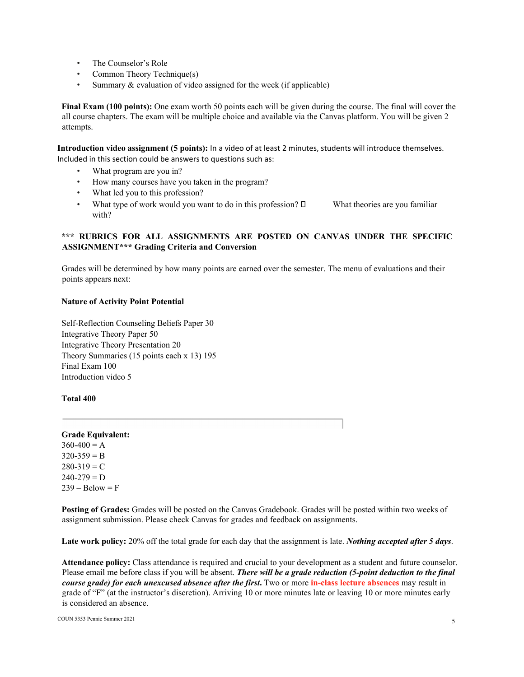- The Counselor's Role
- Common Theory Technique(s)
- Summary & evaluation of video assigned for the week (if applicable)

**Final Exam (100 points):** One exam worth 50 points each will be given during the course. The final will cover the all course chapters. The exam will be multiple choice and available via the Canvas platform. You will be given 2 attempts.

**Introduction video assignment (5 points):** In a video of at least 2 minutes, students will introduce themselves. Included in this section could be answers to questions such as:

- What program are you in?
- How many courses have you taken in the program?
- What led you to this profession?
- What type of work would you want to do in this profession?  $\square$  What theories are you familiar with?

# **\*\*\* RUBRICS FOR ALL ASSIGNMENTS ARE POSTED ON CANVAS UNDER THE SPECIFIC ASSIGNMENT\*\*\* Grading Criteria and Conversion**

Grades will be determined by how many points are earned over the semester. The menu of evaluations and their points appears next:

# **Nature of Activity Point Potential**

Self-Reflection Counseling Beliefs Paper 30 Integrative Theory Paper 50 Integrative Theory Presentation 20 Theory Summaries (15 points each x 13) 195 Final Exam 100 Introduction video 5

# **Total 400**

# **Grade Equivalent:**

 $360-400 = A$  $320-359 = B$  $280-319 = C$  $240-279 = D$  $239 - \text{Below} = F$ 

**Posting of Grades:** Grades will be posted on the Canvas Gradebook. Grades will be posted within two weeks of assignment submission. Please check Canvas for grades and feedback on assignments.

**Late work policy:** 20% off the total grade for each day that the assignment is late. *Nothing accepted after 5 days*.

**Attendance policy:** Class attendance is required and crucial to your development as a student and future counselor. Please email me before class if you will be absent. *There will be a grade reduction (5-point deduction to the final course grade) for each unexcused absence after the first***.** Two or more **in-class lecture absences** may result in grade of "F" (at the instructor's discretion). Arriving 10 or more minutes late or leaving 10 or more minutes early is considered an absence.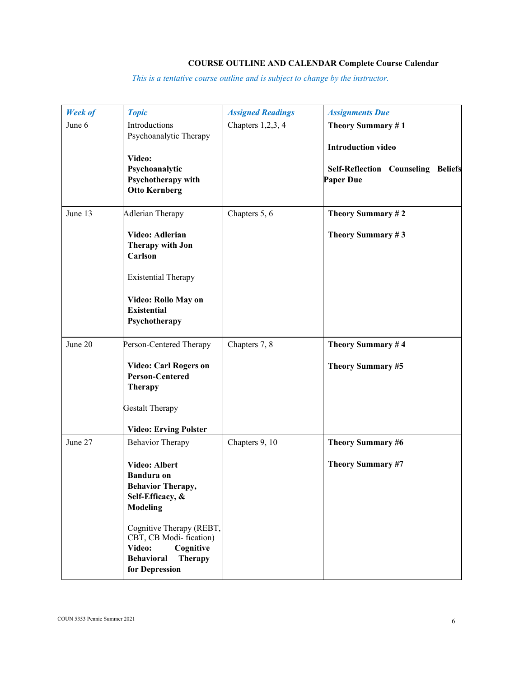# **COURSE OUTLINE AND CALENDAR Complete Course Calendar**

*This is a tentative course outline and is subject to change by the instructor.*

| <b>Week of</b> | <b>Topic</b>                                                                                                                                                                                                                                                           | <b>Assigned Readings</b> | <b>Assignments Due</b>                                                                                          |
|----------------|------------------------------------------------------------------------------------------------------------------------------------------------------------------------------------------------------------------------------------------------------------------------|--------------------------|-----------------------------------------------------------------------------------------------------------------|
| June 6         | Introductions<br>Psychoanalytic Therapy<br>Video:<br>Psychoanalytic<br>Psychotherapy with<br><b>Otto Kernberg</b>                                                                                                                                                      | Chapters $1,2,3,4$       | Theory Summary #1<br><b>Introduction video</b><br><b>Self-Reflection Counseling Beliefs</b><br><b>Paper Due</b> |
| June 13        | <b>Adlerian Therapy</b><br>Video: Adlerian<br>Therapy with Jon<br>Carlson<br><b>Existential Therapy</b><br>Video: Rollo May on<br><b>Existential</b><br>Psychotherapy                                                                                                  | Chapters 5, 6            | Theory Summary #2<br>Theory Summary #3                                                                          |
| June 20        | Person-Centered Therapy<br>Video: Carl Rogers on<br><b>Person-Centered</b><br><b>Therapy</b><br><b>Gestalt Therapy</b><br><b>Video: Erving Polster</b>                                                                                                                 | Chapters 7, 8            | Theory Summary #4<br>Theory Summary #5                                                                          |
| June 27        | <b>Behavior Therapy</b><br>Video: Albert<br><b>Bandura</b> on<br><b>Behavior Therapy,</b><br>Self-Efficacy, &<br><b>Modeling</b><br>Cognitive Therapy (REBT,<br>CBT, CB Modi-fication)<br>Cognitive<br>Video:<br><b>Behavioral</b><br><b>Therapy</b><br>for Depression | Chapters 9, 10           | Theory Summary #6<br>Theory Summary #7                                                                          |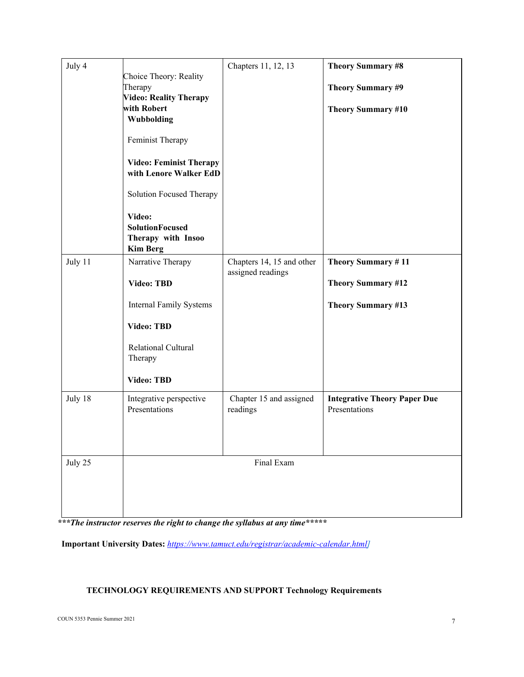| July 4  | Choice Theory: Reality<br>Therapy<br><b>Video: Reality Therapy</b><br>with Robert<br>Wubbolding<br>Feminist Therapy<br><b>Video: Feminist Therapy</b><br>with Lenore Walker EdD | Chapters 11, 12, 13                            | <b>Theory Summary #8</b><br>Theory Summary #9<br><b>Theory Summary #10</b>   |
|---------|---------------------------------------------------------------------------------------------------------------------------------------------------------------------------------|------------------------------------------------|------------------------------------------------------------------------------|
|         | <b>Solution Focused Therapy</b><br>Video:<br><b>SolutionFocused</b><br>Therapy with Insoo<br><b>Kim Berg</b>                                                                    |                                                |                                                                              |
| July 11 | Narrative Therapy<br><b>Video: TBD</b><br><b>Internal Family Systems</b><br><b>Video: TBD</b><br>Relational Cultural<br>Therapy<br>Video: TBD                                   | Chapters 14, 15 and other<br>assigned readings | Theory Summary #11<br><b>Theory Summary #12</b><br><b>Theory Summary #13</b> |
| July 18 | Integrative perspective<br>Presentations                                                                                                                                        | Chapter 15 and assigned<br>readings            | <b>Integrative Theory Paper Due</b><br>Presentations                         |
| July 25 |                                                                                                                                                                                 | Final Exam                                     |                                                                              |

*\*\*\*The instructor reserves the right to change the syllabus at any time\*\*\*\*\** 

**Important University Dates:** *https://www.tamuct.edu/registrar/academic-calendar.html]*

# **TECHNOLOGY REQUIREMENTS AND SUPPORT Technology Requirements**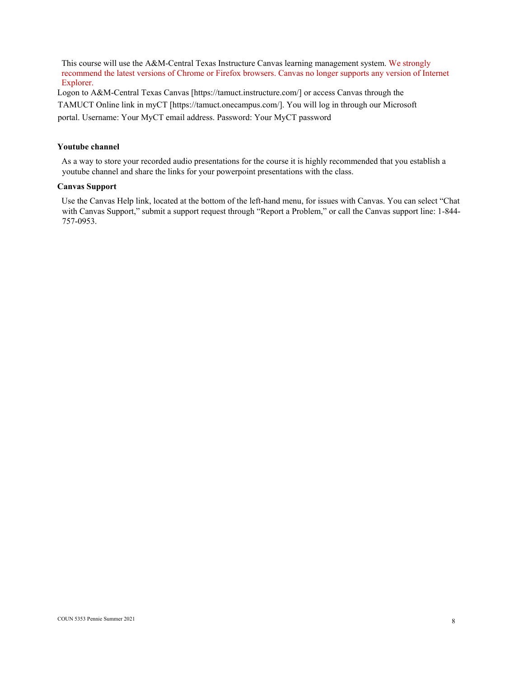This course will use the A&M-Central Texas Instructure Canvas learning management system. We strongly recommend the latest versions of Chrome or Firefox browsers. Canvas no longer supports any version of Internet Explorer.

Logon to A&M-Central Texas Canvas [https://tamuct.instructure.com/] or access Canvas through the

TAMUCT Online link in myCT [https://tamuct.onecampus.com/]. You will log in through our Microsoft

portal. Username: Your MyCT email address. Password: Your MyCT password

### **Youtube channel**

As a way to store your recorded audio presentations for the course it is highly recommended that you establish a youtube channel and share the links for your powerpoint presentations with the class.

## **Canvas Support**

Use the Canvas Help link, located at the bottom of the left-hand menu, for issues with Canvas. You can select "Chat with Canvas Support," submit a support request through "Report a Problem," or call the Canvas support line: 1-844-757-0953.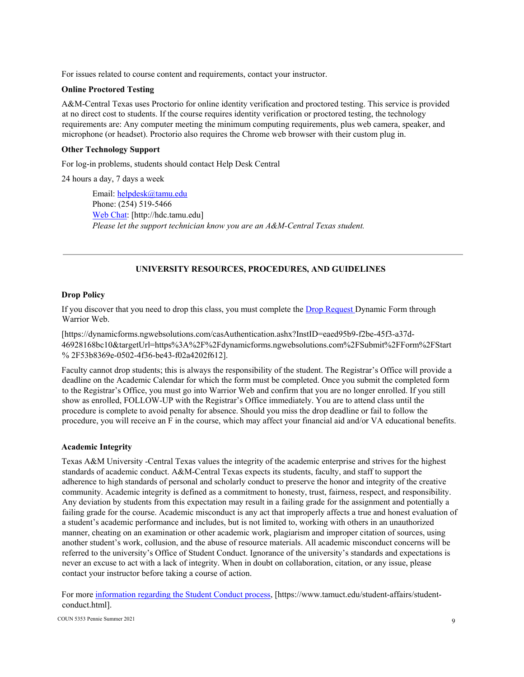For issues related to course content and requirements, contact your instructor.

### **Online Proctored Testing**

A&M-Central Texas uses Proctorio for online identity verification and proctored testing. This service is provided at no direct cost to students. If the course requires identity verification or proctored testing, the technology requirements are: Any computer meeting the minimum computing requirements, plus web camera, speaker, and microphone (or headset). Proctorio also requires the Chrome web browser with their custom plug in.

### **Other Technology Support**

For log-in problems, students should contact Help Desk Central

24 hours a day, 7 days a week

Email: helpdesk@tamu.edu Phone: (254) 519-5466 Web Chat: [http://hdc.tamu.edu] *Please let the support technician know you are an A&M-Central Texas student.*

# **UNIVERSITY RESOURCES, PROCEDURES, AND GUIDELINES**

### **Drop Policy**

If you discover that you need to drop this class, you must complete the Drop Request Dynamic Form through Warrior Web.

[https://dynamicforms.ngwebsolutions.com/casAuthentication.ashx?InstID=eaed95b9-f2be-45f3-a37d-46928168bc10&targetUrl=https%3A%2F%2Fdynamicforms.ngwebsolutions.com%2FSubmit%2FForm%2FStart % 2F53b8369e-0502-4f36-be43-f02a4202f612].

Faculty cannot drop students; this is always the responsibility of the student. The Registrar's Office will provide a deadline on the Academic Calendar for which the form must be completed. Once you submit the completed form to the Registrar's Office, you must go into Warrior Web and confirm that you are no longer enrolled. If you still show as enrolled, FOLLOW-UP with the Registrar's Office immediately. You are to attend class until the procedure is complete to avoid penalty for absence. Should you miss the drop deadline or fail to follow the procedure, you will receive an F in the course, which may affect your financial aid and/or VA educational benefits.

### **Academic Integrity**

Texas A&M University -Central Texas values the integrity of the academic enterprise and strives for the highest standards of academic conduct. A&M-Central Texas expects its students, faculty, and staff to support the adherence to high standards of personal and scholarly conduct to preserve the honor and integrity of the creative community. Academic integrity is defined as a commitment to honesty, trust, fairness, respect, and responsibility. Any deviation by students from this expectation may result in a failing grade for the assignment and potentially a failing grade for the course. Academic misconduct is any act that improperly affects a true and honest evaluation of a student's academic performance and includes, but is not limited to, working with others in an unauthorized manner, cheating on an examination or other academic work, plagiarism and improper citation of sources, using another student's work, collusion, and the abuse of resource materials. All academic misconduct concerns will be referred to the university's Office of Student Conduct. Ignorance of the university's standards and expectations is never an excuse to act with a lack of integrity. When in doubt on collaboration, citation, or any issue, please contact your instructor before taking a course of action.

For more information regarding the Student Conduct process, [https://www.tamuct.edu/student-affairs/studentconduct.html].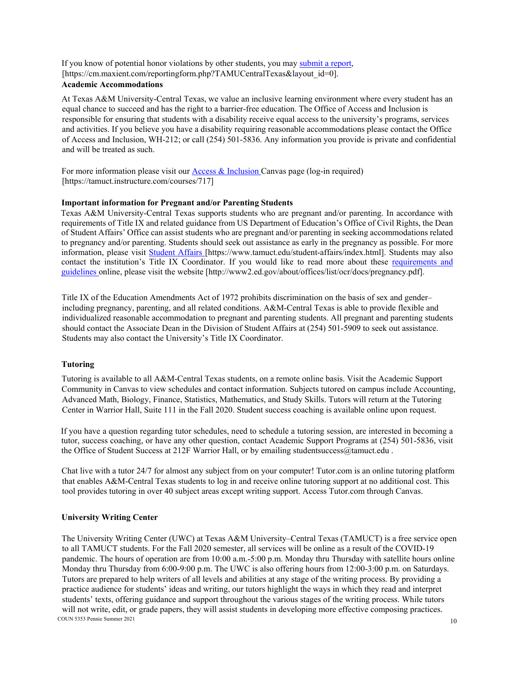If you know of potential honor violations by other students, you may submit a report, [https://cm.maxient.com/reportingform.php?TAMUCentralTexas&layout\_id=0]. **Academic Accommodations**

At Texas A&M University-Central Texas, we value an inclusive learning environment where every student has an equal chance to succeed and has the right to a barrier-free education. The Office of Access and Inclusion is responsible for ensuring that students with a disability receive equal access to the university's programs, services and activities. If you believe you have a disability requiring reasonable accommodations please contact the Office of Access and Inclusion, WH-212; or call (254) 501-5836. Any information you provide is private and confidential and will be treated as such.

For more information please visit our Access & Inclusion Canvas page (log-in required) [https://tamuct.instructure.com/courses/717]

## **Important information for Pregnant and/or Parenting Students**

Texas A&M University-Central Texas supports students who are pregnant and/or parenting. In accordance with requirements of Title IX and related guidance from US Department of Education's Office of Civil Rights, the Dean of Student Affairs' Office can assist students who are pregnant and/or parenting in seeking accommodations related to pregnancy and/or parenting. Students should seek out assistance as early in the pregnancy as possible. For more information, please visit Student Affairs [https://www.tamuct.edu/student-affairs/index.html]. Students may also contact the institution's Title IX Coordinator. If you would like to read more about these requirements and guidelines online, please visit the website [http://www2.ed.gov/about/offices/list/ocr/docs/pregnancy.pdf].

Title IX of the Education Amendments Act of 1972 prohibits discrimination on the basis of sex and gender– including pregnancy, parenting, and all related conditions. A&M-Central Texas is able to provide flexible and individualized reasonable accommodation to pregnant and parenting students. All pregnant and parenting students should contact the Associate Dean in the Division of Student Affairs at (254) 501-5909 to seek out assistance. Students may also contact the University's Title IX Coordinator.

### **Tutoring**

Tutoring is available to all A&M-Central Texas students, on a remote online basis. Visit the Academic Support Community in Canvas to view schedules and contact information. Subjects tutored on campus include Accounting, Advanced Math, Biology, Finance, Statistics, Mathematics, and Study Skills. Tutors will return at the Tutoring Center in Warrior Hall, Suite 111 in the Fall 2020. Student success coaching is available online upon request.

If you have a question regarding tutor schedules, need to schedule a tutoring session, are interested in becoming a tutor, success coaching, or have any other question, contact Academic Support Programs at (254) 501-5836, visit the Office of Student Success at 212F Warrior Hall, or by emailing studentsuccess@tamuct.edu .

Chat live with a tutor 24/7 for almost any subject from on your computer! Tutor.com is an online tutoring platform that enables A&M-Central Texas students to log in and receive online tutoring support at no additional cost. This tool provides tutoring in over 40 subject areas except writing support. Access Tutor.com through Canvas.

### **University Writing Center**

 $\sim$  COUN 5353 Pennie Summer 2021 **10** The University Writing Center (UWC) at Texas A&M University–Central Texas (TAMUCT) is a free service open to all TAMUCT students. For the Fall 2020 semester, all services will be online as a result of the COVID-19 pandemic. The hours of operation are from 10:00 a.m.-5:00 p.m. Monday thru Thursday with satellite hours online Monday thru Thursday from 6:00-9:00 p.m. The UWC is also offering hours from 12:00-3:00 p.m. on Saturdays. Tutors are prepared to help writers of all levels and abilities at any stage of the writing process. By providing a practice audience for students' ideas and writing, our tutors highlight the ways in which they read and interpret students' texts, offering guidance and support throughout the various stages of the writing process. While tutors will not write, edit, or grade papers, they will assist students in developing more effective composing practices.<br>COUN 5353 Pennie Summer 2021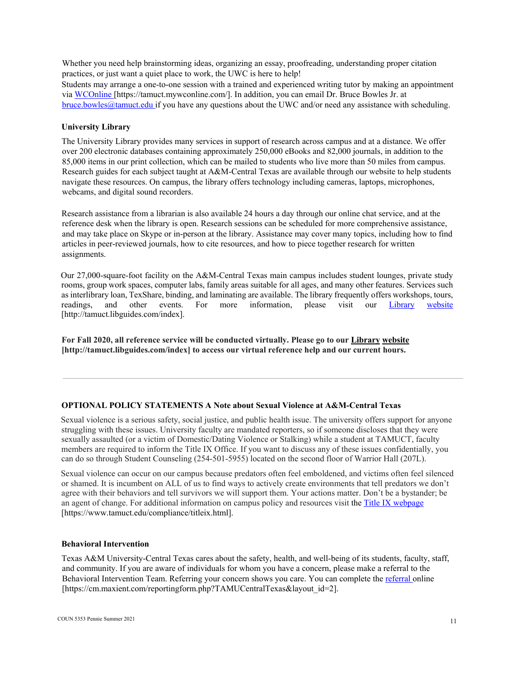Whether you need help brainstorming ideas, organizing an essay, proofreading, understanding proper citation practices, or just want a quiet place to work, the UWC is here to help!

Students may arrange a one-to-one session with a trained and experienced writing tutor by making an appointment via WCOnline [https://tamuct.mywconline.com/]. In addition, you can email Dr. Bruce Bowles Jr. at bruce.bowles@tamuct.edu if you have any questions about the UWC and/or need any assistance with scheduling.

# **University Library**

The University Library provides many services in support of research across campus and at a distance. We offer over 200 electronic databases containing approximately 250,000 eBooks and 82,000 journals, in addition to the 85,000 items in our print collection, which can be mailed to students who live more than 50 miles from campus. Research guides for each subject taught at A&M-Central Texas are available through our website to help students navigate these resources. On campus, the library offers technology including cameras, laptops, microphones, webcams, and digital sound recorders.

Research assistance from a librarian is also available 24 hours a day through our online chat service, and at the reference desk when the library is open. Research sessions can be scheduled for more comprehensive assistance, and may take place on Skype or in-person at the library. Assistance may cover many topics, including how to find articles in peer-reviewed journals, how to cite resources, and how to piece together research for written assignments.

Our 27,000-square-foot facility on the A&M-Central Texas main campus includes student lounges, private study rooms, group work spaces, computer labs, family areas suitable for all ages, and many other features. Services such as interlibrary loan, TexShare, binding, and laminating are available. The library frequently offers workshops, tours, readings, and other events. For more information, please visit our Library website [http://tamuct.libguides.com/index].

**For Fall 2020, all reference service will be conducted virtually. Please go to our Library website [http://tamuct.libguides.com/index] to access our virtual reference help and our current hours.**

### **OPTIONAL POLICY STATEMENTS A Note about Sexual Violence at A&M-Central Texas**

Sexual violence is a serious safety, social justice, and public health issue. The university offers support for anyone struggling with these issues. University faculty are mandated reporters, so if someone discloses that they were sexually assaulted (or a victim of Domestic/Dating Violence or Stalking) while a student at TAMUCT, faculty members are required to inform the Title IX Office. If you want to discuss any of these issues confidentially, you can do so through Student Counseling (254-501-5955) located on the second floor of Warrior Hall (207L).

Sexual violence can occur on our campus because predators often feel emboldened, and victims often feel silenced or shamed. It is incumbent on ALL of us to find ways to actively create environments that tell predators we don't agree with their behaviors and tell survivors we will support them. Your actions matter. Don't be a bystander; be an agent of change. For additional information on campus policy and resources visit the Title IX webpage [https://www.tamuct.edu/compliance/titleix.html].

#### **Behavioral Intervention**

Texas A&M University-Central Texas cares about the safety, health, and well-being of its students, faculty, staff, and community. If you are aware of individuals for whom you have a concern, please make a referral to the Behavioral Intervention Team. Referring your concern shows you care. You can complete the referral online [https://cm.maxient.com/reportingform.php?TAMUCentralTexas&layout\_id=2].